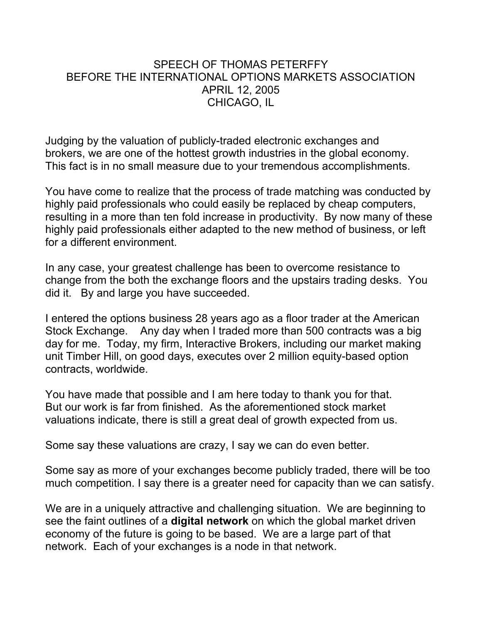### SPEECH OF THOMAS PETERFFY BEFORE THE INTERNATIONAL OPTIONS MARKETS ASSOCIATION APRIL 12, 2005 CHICAGO, IL

Judging by the valuation of publicly-traded electronic exchanges and brokers, we are one of the hottest growth industries in the global economy. This fact is in no small measure due to your tremendous accomplishments.

You have come to realize that the process of trade matching was conducted by highly paid professionals who could easily be replaced by cheap computers, resulting in a more than ten fold increase in productivity. By now many of these highly paid professionals either adapted to the new method of business, or left for a different environment.

In any case, your greatest challenge has been to overcome resistance to change from the both the exchange floors and the upstairs trading desks. You did it. By and large you have succeeded.

I entered the options business 28 years ago as a floor trader at the American Stock Exchange. Any day when I traded more than 500 contracts was a big day for me. Today, my firm, Interactive Brokers, including our market making unit Timber Hill, on good days, executes over 2 million equity-based option contracts, worldwide.

You have made that possible and I am here today to thank you for that. But our work is far from finished. As the aforementioned stock market valuations indicate, there is still a great deal of growth expected from us.

Some say these valuations are crazy, I say we can do even better.

Some say as more of your exchanges become publicly traded, there will be too much competition. I say there is a greater need for capacity than we can satisfy.

We are in a uniquely attractive and challenging situation. We are beginning to see the faint outlines of a **digital network** on which the global market driven economy of the future is going to be based. We are a large part of that network. Each of your exchanges is a node in that network.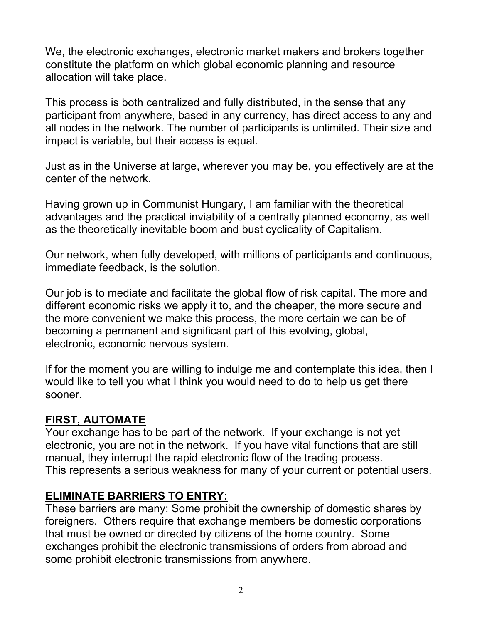We, the electronic exchanges, electronic market makers and brokers together constitute the platform on which global economic planning and resource allocation will take place.

This process is both centralized and fully distributed, in the sense that any participant from anywhere, based in any currency, has direct access to any and all nodes in the network. The number of participants is unlimited. Their size and impact is variable, but their access is equal.

Just as in the Universe at large, wherever you may be, you effectively are at the center of the network.

Having grown up in Communist Hungary, I am familiar with the theoretical advantages and the practical inviability of a centrally planned economy, as well as the theoretically inevitable boom and bust cyclicality of Capitalism.

Our network, when fully developed, with millions of participants and continuous, immediate feedback, is the solution.

Our job is to mediate and facilitate the global flow of risk capital. The more and different economic risks we apply it to, and the cheaper, the more secure and the more convenient we make this process, the more certain we can be of becoming a permanent and significant part of this evolving, global, electronic, economic nervous system.

If for the moment you are willing to indulge me and contemplate this idea, then I would like to tell you what I think you would need to do to help us get there sooner.

### **FIRST, AUTOMATE**

Your exchange has to be part of the network. If your exchange is not yet electronic, you are not in the network. If you have vital functions that are still manual, they interrupt the rapid electronic flow of the trading process. This represents a serious weakness for many of your current or potential users.

### **ELIMINATE BARRIERS TO ENTRY:**

These barriers are many: Some prohibit the ownership of domestic shares by foreigners. Others require that exchange members be domestic corporations that must be owned or directed by citizens of the home country. Some exchanges prohibit the electronic transmissions of orders from abroad and some prohibit electronic transmissions from anywhere.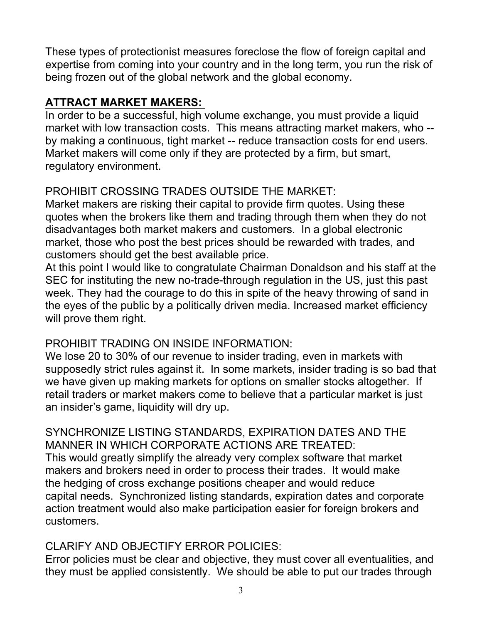These types of protectionist measures foreclose the flow of foreign capital and expertise from coming into your country and in the long term, you run the risk of being frozen out of the global network and the global economy.

## **ATTRACT MARKET MAKERS:**

In order to be a successful, high volume exchange, you must provide a liquid market with low transaction costs. This means attracting market makers, who - by making a continuous, tight market -- reduce transaction costs for end users. Market makers will come only if they are protected by a firm, but smart, regulatory environment.

# PROHIBIT CROSSING TRADES OUTSIDE THE MARKET:

Market makers are risking their capital to provide firm quotes. Using these quotes when the brokers like them and trading through them when they do not disadvantages both market makers and customers. In a global electronic market, those who post the best prices should be rewarded with trades, and customers should get the best available price.

At this point I would like to congratulate Chairman Donaldson and his staff at the SEC for instituting the new no-trade-through regulation in the US, just this past week. They had the courage to do this in spite of the heavy throwing of sand in the eyes of the public by a politically driven media. Increased market efficiency will prove them right.

# PROHIBIT TRADING ON INSIDE INFORMATION:

We lose 20 to 30% of our revenue to insider trading, even in markets with supposedly strict rules against it. In some markets, insider trading is so bad that we have given up making markets for options on smaller stocks altogether. If retail traders or market makers come to believe that a particular market is just an insider's game, liquidity will dry up.

SYNCHRONIZE LISTING STANDARDS, EXPIRATION DATES AND THE MANNER IN WHICH CORPORATE ACTIONS ARE TREATED: This would greatly simplify the already very complex software that market makers and brokers need in order to process their trades. It would make the hedging of cross exchange positions cheaper and would reduce capital needs. Synchronized listing standards, expiration dates and corporate action treatment would also make participation easier for foreign brokers and customers.

# CLARIFY AND OBJECTIFY ERROR POLICIES:

Error policies must be clear and objective, they must cover all eventualities, and they must be applied consistently. We should be able to put our trades through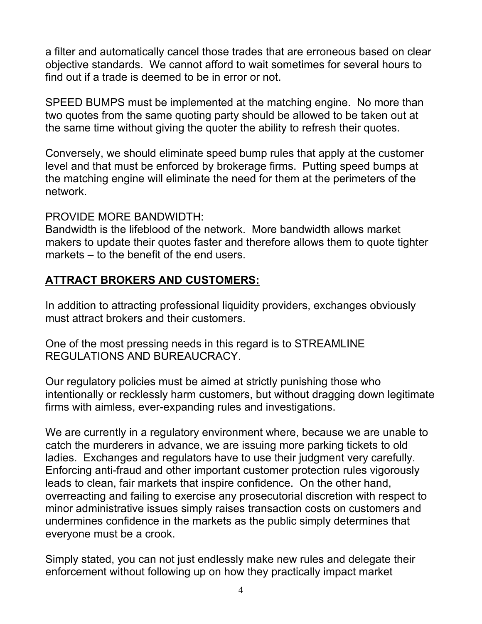a filter and automatically cancel those trades that are erroneous based on clear objective standards. We cannot afford to wait sometimes for several hours to find out if a trade is deemed to be in error or not.

SPEED BUMPS must be implemented at the matching engine. No more than two quotes from the same quoting party should be allowed to be taken out at the same time without giving the quoter the ability to refresh their quotes.

Conversely, we should eliminate speed bump rules that apply at the customer level and that must be enforced by brokerage firms. Putting speed bumps at the matching engine will eliminate the need for them at the perimeters of the network.

### PROVIDE MORE BANDWIDTH:

Bandwidth is the lifeblood of the network. More bandwidth allows market makers to update their quotes faster and therefore allows them to quote tighter markets – to the benefit of the end users.

### **ATTRACT BROKERS AND CUSTOMERS:**

In addition to attracting professional liquidity providers, exchanges obviously must attract brokers and their customers.

One of the most pressing needs in this regard is to STREAMLINE REGULATIONS AND BUREAUCRACY.

Our regulatory policies must be aimed at strictly punishing those who intentionally or recklessly harm customers, but without dragging down legitimate firms with aimless, ever-expanding rules and investigations.

We are currently in a regulatory environment where, because we are unable to catch the murderers in advance, we are issuing more parking tickets to old ladies. Exchanges and regulators have to use their judgment very carefully. Enforcing anti-fraud and other important customer protection rules vigorously leads to clean, fair markets that inspire confidence. On the other hand, overreacting and failing to exercise any prosecutorial discretion with respect to minor administrative issues simply raises transaction costs on customers and undermines confidence in the markets as the public simply determines that everyone must be a crook.

Simply stated, you can not just endlessly make new rules and delegate their enforcement without following up on how they practically impact market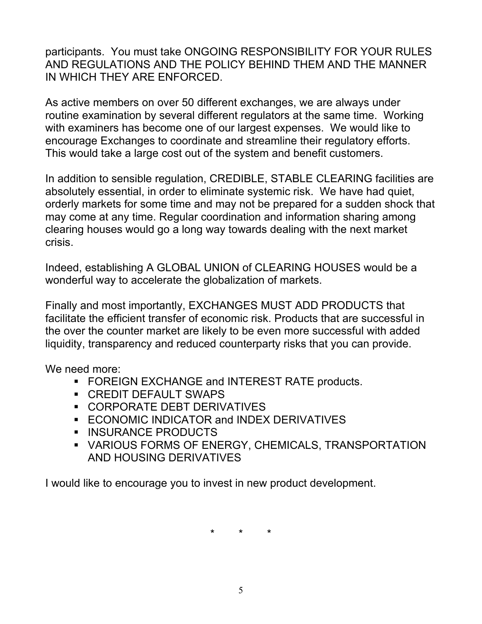participants. You must take ONGOING RESPONSIBILITY FOR YOUR RULES AND REGULATIONS AND THE POLICY BEHIND THEM AND THE MANNER IN WHICH THEY ARE ENFORCED.

As active members on over 50 different exchanges, we are always under routine examination by several different regulators at the same time. Working with examiners has become one of our largest expenses. We would like to encourage Exchanges to coordinate and streamline their regulatory efforts. This would take a large cost out of the system and benefit customers.

In addition to sensible regulation, CREDIBLE, STABLE CLEARING facilities are absolutely essential, in order to eliminate systemic risk. We have had quiet, orderly markets for some time and may not be prepared for a sudden shock that may come at any time. Regular coordination and information sharing among clearing houses would go a long way towards dealing with the next market crisis.

Indeed, establishing A GLOBAL UNION of CLEARING HOUSES would be a wonderful way to accelerate the globalization of markets.

Finally and most importantly, EXCHANGES MUST ADD PRODUCTS that facilitate the efficient transfer of economic risk. Products that are successful in the over the counter market are likely to be even more successful with added liquidity, transparency and reduced counterparty risks that you can provide.

We need more:

- **FOREIGN EXCHANGE and INTEREST RATE products.**
- CREDIT DEFAULT SWAPS
- CORPORATE DEBT DERIVATIVES
- **ECONOMIC INDICATOR and INDEX DERIVATIVES**
- **INSURANCE PRODUCTS**
- VARIOUS FORMS OF ENERGY, CHEMICALS, TRANSPORTATION AND HOUSING DERIVATIVES

I would like to encourage you to invest in new product development.

\* \* \*